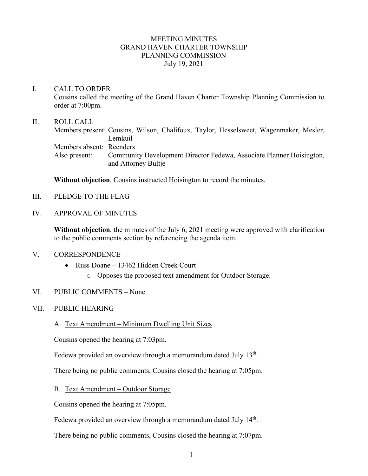## MEETING MINUTES GRAND HAVEN CHARTER TOWNSHIP PLANNING COMMISSION July 19, 2021

## I. CALL TO ORDER

Cousins called the meeting of the Grand Haven Charter Township Planning Commission to order at 7:00pm.

### II. ROLL CALL

Members present: Cousins, Wilson, Chalifoux, Taylor, Hesselsweet, Wagenmaker, Mesler, Lemkuil Members absent: Reenders Also present: Community Development Director Fedewa, Associate Planner Hoisington, and Attorney Bultje

**Without objection**, Cousins instructed Hoisington to record the minutes.

- III. PLEDGE TO THE FLAG
- IV. APPROVAL OF MINUTES

**Without objection**, the minutes of the July 6, 2021 meeting were approved with clarification to the public comments section by referencing the agenda item.

#### V. CORRESPONDENCE

- Russ Doane 13462 Hidden Creek Court
	- o Opposes the proposed text amendment for Outdoor Storage.

## VI. PUBLIC COMMENTS – None

## VII. PUBLIC HEARING

A. Text Amendment – Minimum Dwelling Unit Sizes

Cousins opened the hearing at 7:03pm.

Fedewa provided an overview through a memorandum dated July  $13<sup>th</sup>$ .

There being no public comments, Cousins closed the hearing at 7:05pm.

B. Text Amendment – Outdoor Storage

Cousins opened the hearing at 7:05pm.

Fedewa provided an overview through a memorandum dated July 14<sup>th</sup>.

There being no public comments, Cousins closed the hearing at 7:07pm.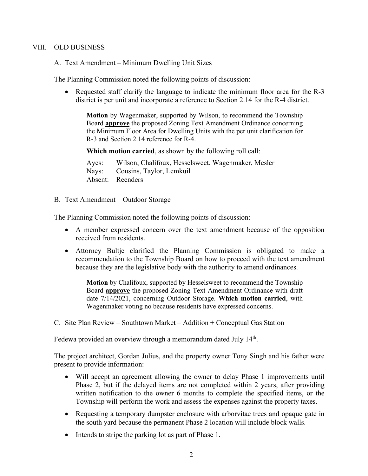## VIII. OLD BUSINESS

### A. Text Amendment – Minimum Dwelling Unit Sizes

The Planning Commission noted the following points of discussion:

• Requested staff clarify the language to indicate the minimum floor area for the R-3 district is per unit and incorporate a reference to Section 2.14 for the R-4 district.

**Motion** by Wagenmaker, supported by Wilson, to recommend the Township Board **approve** the proposed Zoning Text Amendment Ordinance concerning the Minimum Floor Area for Dwelling Units with the per unit clarification for R-3 and Section 2.14 reference for R-4.

**Which motion carried**, as shown by the following roll call:

Ayes: Wilson, Chalifoux, Hesselsweet, Wagenmaker, Mesler Nays: Cousins, Taylor, Lemkuil Absent: Reenders

### B. Text Amendment - Outdoor Storage

The Planning Commission noted the following points of discussion:

- A member expressed concern over the text amendment because of the opposition received from residents.
- Attorney Bultje clarified the Planning Commission is obligated to make a recommendation to the Township Board on how to proceed with the text amendment because they are the legislative body with the authority to amend ordinances.

**Motion** by Chalifoux, supported by Hesselsweet to recommend the Township Board **approve** the proposed Zoning Text Amendment Ordinance with draft date 7/14/2021, concerning Outdoor Storage. **Which motion carried**, with Wagenmaker voting no because residents have expressed concerns.

## C. Site Plan Review – Southtown Market – Addition + Conceptual Gas Station

Fedewa provided an overview through a memorandum dated July 14<sup>th</sup>.

The project architect, Gordan Julius, and the property owner Tony Singh and his father were present to provide information:

- Will accept an agreement allowing the owner to delay Phase 1 improvements until Phase 2, but if the delayed items are not completed within 2 years, after providing written notification to the owner 6 months to complete the specified items, or the Township will perform the work and assess the expenses against the property taxes.
- Requesting a temporary dumpster enclosure with arborvitae trees and opaque gate in the south yard because the permanent Phase 2 location will include block walls.
- Intends to stripe the parking lot as part of Phase 1.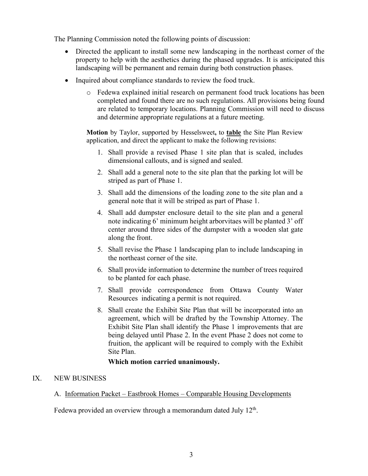The Planning Commission noted the following points of discussion:

- Directed the applicant to install some new landscaping in the northeast corner of the property to help with the aesthetics during the phased upgrades. It is anticipated this landscaping will be permanent and remain during both construction phases.
- Inquired about compliance standards to review the food truck.
	- o Fedewa explained initial research on permanent food truck locations has been completed and found there are no such regulations. All provisions being found are related to temporary locations. Planning Commission will need to discuss and determine appropriate regulations at a future meeting.

**Motion** by Taylor, supported by Hesselsweet**,** to **table** the Site Plan Review application, and direct the applicant to make the following revisions:

- 1. Shall provide a revised Phase 1 site plan that is scaled, includes dimensional callouts, and is signed and sealed.
- 2. Shall add a general note to the site plan that the parking lot will be striped as part of Phase 1.
- 3. Shall add the dimensions of the loading zone to the site plan and a general note that it will be striped as part of Phase 1.
- 4. Shall add dumpster enclosure detail to the site plan and a general note indicating 6' minimum height arborvitaes will be planted 3' off center around three sides of the dumpster with a wooden slat gate along the front.
- 5. Shall revise the Phase 1 landscaping plan to include landscaping in the northeast corner of the site.
- 6. Shall provide information to determine the number of trees required to be planted for each phase.
- 7. Shall provide correspondence from Ottawa County Water Resources indicating a permit is not required.
- 8. Shall create the Exhibit Site Plan that will be incorporated into an agreement, which will be drafted by the Township Attorney. The Exhibit Site Plan shall identify the Phase 1 improvements that are being delayed until Phase 2. In the event Phase 2 does not come to fruition, the applicant will be required to comply with the Exhibit Site Plan.

# **Which motion carried unanimously.**

# IX. NEW BUSINESS

A. Information Packet – Eastbrook Homes – Comparable Housing Developments

Fedewa provided an overview through a memorandum dated July  $12<sup>th</sup>$ .